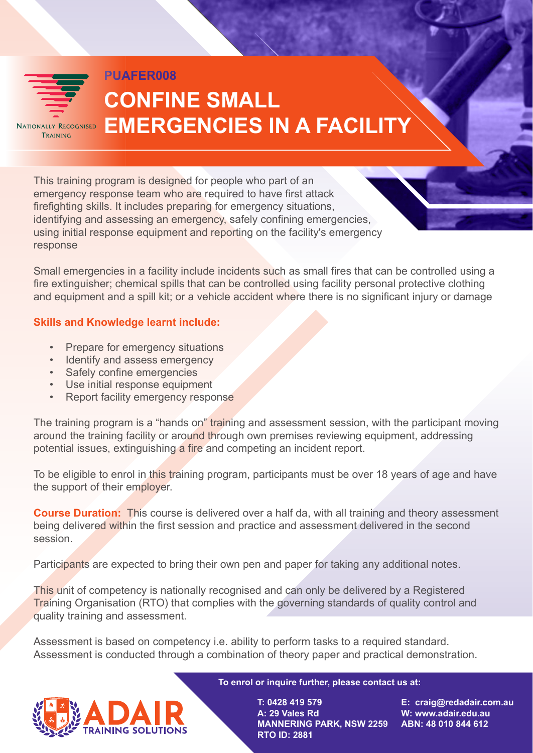

TRAINING

response

## **CONFINE SMALL EMERGENCIES IN A FACILITY**

ning program is designed for people who part of an hcy response team who are required to have first attack ng skills. It includes preparing for emergency situations, ng and assessing an emergency, safely confining emergencies, tial response equipment and reporting on the facility's emergency

nergencies in a facility include incidents such as small fires that can be controlled using a iguisher; chemical spills that can be controlled using facility personal protective clothing ipment and a spill kit; or a vehicle accident where there is no significant injury or damage

## **nd Knowledge learnt include:**

**PUAFER008** 

repare for emergency situations lentify and assess emergency afely confine emergencies Ise initial response equipment leport facility emergency response

The training program is a "hands on" training and assessment session, with the participant moving around the training facility or around through own premises reviewing equipment, addressing potential issues, extinguishing a fire and competing an incident report.

To be eligible to enrol in this training program, participants must be over 18 years of age and have the support of their employer.

**Course Duration:** This course is delivered over a half da, with all training and theory assessment being delivered within the first session and practice and assessment delivered in the second session.

Participants are expected to bring their own pen and paper for taking any additional notes.

This unit of competency is nationally recognised and can only be delivered by a Registered Training Organisation (RTO) that complies with the governing standards of quality control and quality training and assessment.

Assessment is based on competency i.e. ability to perform tasks to a required standard. Assessment is conducted through a combination of theory paper and practical demonstration.



**To enrol or inquire further, please contact us at:** 

**T: 0428 419 579 A: 29 Vales Rd MANNERING PARK, NSW 2259 RTO ID: 2881**

**E: craig@redadair.com.au W: www.adair.edu.au ABN: 48 010 844 612**